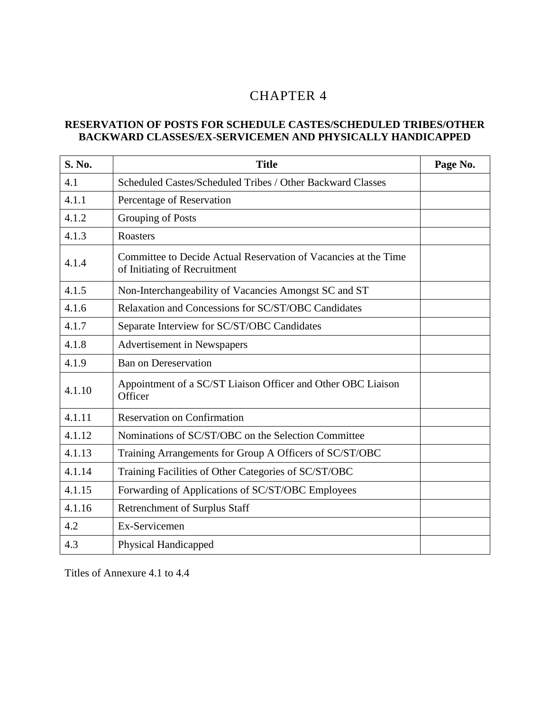# 4 CHAPTER 4

#### **RESERVATION OF POSTS FOR SCHEDULE CASTES/SCHEDULED TRIBES/OTHER BACKWARD CLASSES/EX-SERVICEMEN AND PHYSICALLY HANDICAPPED**

| S. No. | <b>Title</b>                                                                                    | Page No. |
|--------|-------------------------------------------------------------------------------------------------|----------|
| 4.1    | Scheduled Castes/Scheduled Tribes / Other Backward Classes                                      |          |
| 4.1.1  | Percentage of Reservation                                                                       |          |
| 4.1.2  | Grouping of Posts                                                                               |          |
| 4.1.3  | Roasters                                                                                        |          |
| 4.1.4  | Committee to Decide Actual Reservation of Vacancies at the Time<br>of Initiating of Recruitment |          |
| 4.1.5  | Non-Interchangeability of Vacancies Amongst SC and ST                                           |          |
| 4.1.6  | Relaxation and Concessions for SC/ST/OBC Candidates                                             |          |
| 4.1.7  | Separate Interview for SC/ST/OBC Candidates                                                     |          |
| 4.1.8  | Advertisement in Newspapers                                                                     |          |
| 4.1.9  | <b>Ban on Dereservation</b>                                                                     |          |
| 4.1.10 | Appointment of a SC/ST Liaison Officer and Other OBC Liaison<br>Officer                         |          |
| 4.1.11 | <b>Reservation on Confirmation</b>                                                              |          |
| 4.1.12 | Nominations of SC/ST/OBC on the Selection Committee                                             |          |
| 4.1.13 | Training Arrangements for Group A Officers of SC/ST/OBC                                         |          |
| 4.1.14 | Training Facilities of Other Categories of SC/ST/OBC                                            |          |
| 4.1.15 | Forwarding of Applications of SC/ST/OBC Employees                                               |          |
| 4.1.16 | <b>Retrenchment of Surplus Staff</b>                                                            |          |
| 4.2    | Ex-Servicemen                                                                                   |          |
| 4.3    | Physical Handicapped                                                                            |          |

Titles of Annexure 4.1 to 4.4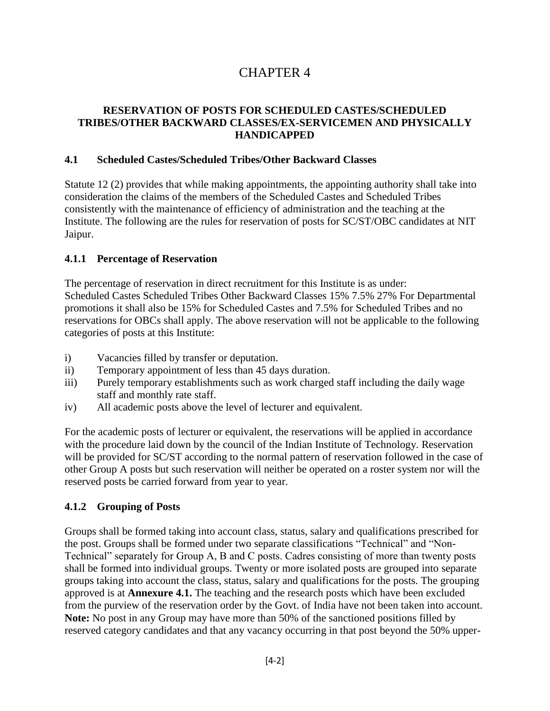# CHAPTER 4

## **RESERVATION OF POSTS FOR SCHEDULED CASTES/SCHEDULED TRIBES/OTHER BACKWARD CLASSES/EX-SERVICEMEN AND PHYSICALLY HANDICAPPED**

#### **4.1 Scheduled Castes/Scheduled Tribes/Other Backward Classes**

Statute 12 (2) provides that while making appointments, the appointing authority shall take into consideration the claims of the members of the Scheduled Castes and Scheduled Tribes consistently with the maintenance of efficiency of administration and the teaching at the Institute. The following are the rules for reservation of posts for SC/ST/OBC candidates at NIT Jaipur.

# **4.1.1 Percentage of Reservation**

The percentage of reservation in direct recruitment for this Institute is as under: Scheduled Castes Scheduled Tribes Other Backward Classes 15% 7.5% 27% For Departmental promotions it shall also be 15% for Scheduled Castes and 7.5% for Scheduled Tribes and no reservations for OBCs shall apply. The above reservation will not be applicable to the following categories of posts at this Institute:

- i) Vacancies filled by transfer or deputation.
- ii) Temporary appointment of less than 45 days duration.
- iii) Purely temporary establishments such as work charged staff including the daily wage staff and monthly rate staff.
- iv) All academic posts above the level of lecturer and equivalent.

For the academic posts of lecturer or equivalent, the reservations will be applied in accordance with the procedure laid down by the council of the Indian Institute of Technology. Reservation will be provided for SC/ST according to the normal pattern of reservation followed in the case of other Group A posts but such reservation will neither be operated on a roster system nor will the reserved posts be carried forward from year to year.

# **4.1.2 Grouping of Posts**

Groups shall be formed taking into account class, status, salary and qualifications prescribed for the post. Groups shall be formed under two separate classifications "Technical" and "Non-Technical" separately for Group A, B and C posts. Cadres consisting of more than twenty posts shall be formed into individual groups. Twenty or more isolated posts are grouped into separate groups taking into account the class, status, salary and qualifications for the posts. The grouping approved is at **Annexure 4.1.** The teaching and the research posts which have been excluded from the purview of the reservation order by the Govt. of India have not been taken into account. **Note:** No post in any Group may have more than 50% of the sanctioned positions filled by reserved category candidates and that any vacancy occurring in that post beyond the 50% upper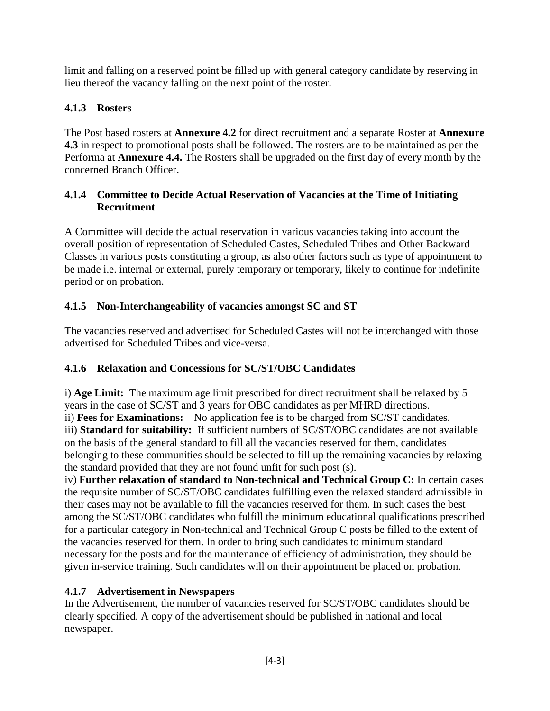limit and falling on a reserved point be filled up with general category candidate by reserving in lieu thereof the vacancy falling on the next point of the roster.

# **4.1.3 Rosters**

The Post based rosters at **Annexure 4.2** for direct recruitment and a separate Roster at **Annexure 4.3** in respect to promotional posts shall be followed. The rosters are to be maintained as per the Performa at **Annexure 4.4.** The Rosters shall be upgraded on the first day of every month by the concerned Branch Officer.

# **4.1.4 Committee to Decide Actual Reservation of Vacancies at the Time of Initiating Recruitment**

A Committee will decide the actual reservation in various vacancies taking into account the overall position of representation of Scheduled Castes, Scheduled Tribes and Other Backward Classes in various posts constituting a group, as also other factors such as type of appointment to be made i.e. internal or external, purely temporary or temporary, likely to continue for indefinite period or on probation.

# **4.1.5 Non-Interchangeability of vacancies amongst SC and ST**

The vacancies reserved and advertised for Scheduled Castes will not be interchanged with those advertised for Scheduled Tribes and vice-versa.

# **4.1.6 Relaxation and Concessions for SC/ST/OBC Candidates**

i) **Age Limit:** The maximum age limit prescribed for direct recruitment shall be relaxed by 5 years in the case of SC/ST and 3 years for OBC candidates as per MHRD directions. ii) **Fees for Examinations:** No application fee is to be charged from SC/ST candidates. iii) **Standard for suitability:** If sufficient numbers of SC/ST/OBC candidates are not available on the basis of the general standard to fill all the vacancies reserved for them, candidates belonging to these communities should be selected to fill up the remaining vacancies by relaxing the standard provided that they are not found unfit for such post (s).

iv) **Further relaxation of standard to Non-technical and Technical Group C:** In certain cases the requisite number of SC/ST/OBC candidates fulfilling even the relaxed standard admissible in their cases may not be available to fill the vacancies reserved for them. In such cases the best among the SC/ST/OBC candidates who fulfill the minimum educational qualifications prescribed for a particular category in Non-technical and Technical Group C posts be filled to the extent of the vacancies reserved for them. In order to bring such candidates to minimum standard necessary for the posts and for the maintenance of efficiency of administration, they should be given in-service training. Such candidates will on their appointment be placed on probation.

# **4.1.7 Advertisement in Newspapers**

In the Advertisement, the number of vacancies reserved for SC/ST/OBC candidates should be clearly specified. A copy of the advertisement should be published in national and local newspaper.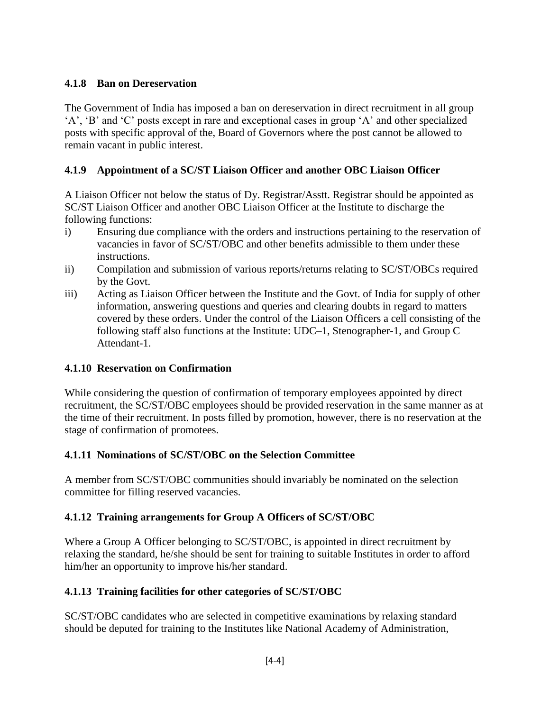# **4.1.8 Ban on Dereservation**

The Government of India has imposed a ban on dereservation in direct recruitment in all group 'A', 'B' and 'C' posts except in rare and exceptional cases in group 'A' and other specialized posts with specific approval of the, Board of Governors where the post cannot be allowed to remain vacant in public interest.

# **4.1.9 Appointment of a SC/ST Liaison Officer and another OBC Liaison Officer**

A Liaison Officer not below the status of Dy. Registrar/Asstt. Registrar should be appointed as SC/ST Liaison Officer and another OBC Liaison Officer at the Institute to discharge the following functions:

- i) Ensuring due compliance with the orders and instructions pertaining to the reservation of vacancies in favor of SC/ST/OBC and other benefits admissible to them under these instructions.
- ii) Compilation and submission of various reports/returns relating to SC/ST/OBCs required by the Govt.
- iii) Acting as Liaison Officer between the Institute and the Govt. of India for supply of other information, answering questions and queries and clearing doubts in regard to matters covered by these orders. Under the control of the Liaison Officers a cell consisting of the following staff also functions at the Institute: UDC–1, Stenographer-1, and Group C Attendant-1.

# **4.1.10 Reservation on Confirmation**

While considering the question of confirmation of temporary employees appointed by direct recruitment, the SC/ST/OBC employees should be provided reservation in the same manner as at the time of their recruitment. In posts filled by promotion, however, there is no reservation at the stage of confirmation of promotees.

# **4.1.11 Nominations of SC/ST/OBC on the Selection Committee**

A member from SC/ST/OBC communities should invariably be nominated on the selection committee for filling reserved vacancies.

# **4.1.12 Training arrangements for Group A Officers of SC/ST/OBC**

Where a Group A Officer belonging to SC/ST/OBC, is appointed in direct recruitment by relaxing the standard, he/she should be sent for training to suitable Institutes in order to afford him/her an opportunity to improve his/her standard.

# **4.1.13 Training facilities for other categories of SC/ST/OBC**

SC/ST/OBC candidates who are selected in competitive examinations by relaxing standard should be deputed for training to the Institutes like National Academy of Administration,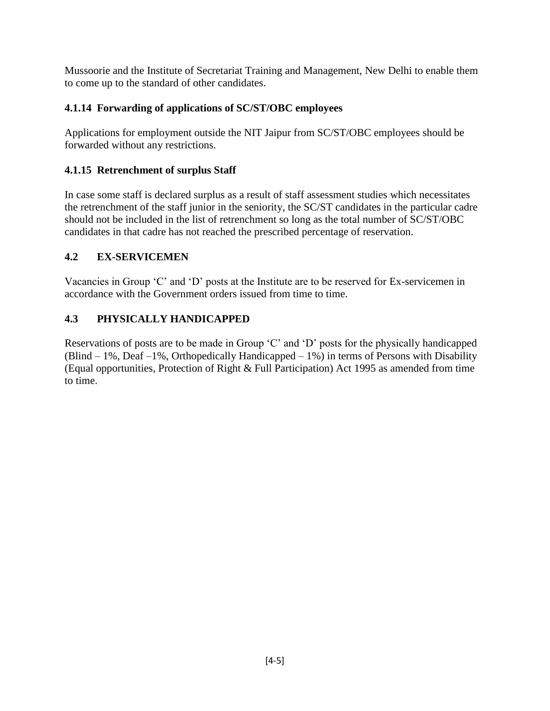Mussoorie and the Institute of Secretariat Training and Management, New Delhi to enable them to come up to the standard of other candidates.

# **4.1.14 Forwarding of applications of SC/ST/OBC employees**

Applications for employment outside the NIT Jaipur from SC/ST/OBC employees should be forwarded without any restrictions.

# **4.1.15 Retrenchment of surplus Staff**

In case some staff is declared surplus as a result of staff assessment studies which necessitates the retrenchment of the staff junior in the seniority, the SC/ST candidates in the particular cadre should not be included in the list of retrenchment so long as the total number of SC/ST/OBC candidates in that cadre has not reached the prescribed percentage of reservation.

# **4.2 EX-SERVICEMEN**

Vacancies in Group 'C' and 'D' posts at the Institute are to be reserved for Ex-servicemen in accordance with the Government orders issued from time to time.

# **4.3 PHYSICALLY HANDICAPPED**

Reservations of posts are to be made in Group 'C' and 'D' posts for the physically handicapped (Blind  $-1\%$ , Deaf  $-1\%$ , Orthopedically Handicapped  $-1\%$ ) in terms of Persons with Disability (Equal opportunities, Protection of Right & Full Participation) Act 1995 as amended from time to time.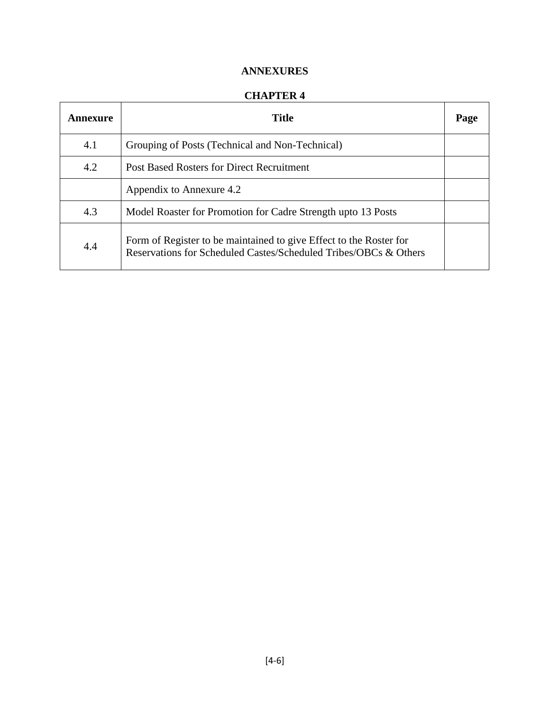# **ANNEXURES**

## **CHAPTER 4**

| Annexure | Title                                                                                                                                  | Page |
|----------|----------------------------------------------------------------------------------------------------------------------------------------|------|
| 4.1      | Grouping of Posts (Technical and Non-Technical)                                                                                        |      |
| 4.2      | <b>Post Based Rosters for Direct Recruitment</b>                                                                                       |      |
|          | Appendix to Annexure 4.2                                                                                                               |      |
| 4.3      | Model Roaster for Promotion for Cadre Strength upto 13 Posts                                                                           |      |
| 4.4      | Form of Register to be maintained to give Effect to the Roster for<br>Reservations for Scheduled Castes/Scheduled Tribes/OBCs & Others |      |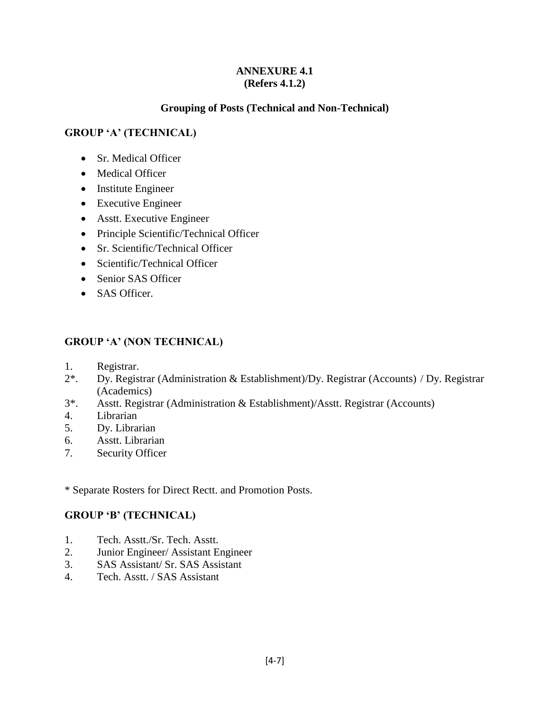#### **ANNEXURE 4.1 (Refers 4.1.2)**

## **Grouping of Posts (Technical and Non-Technical)**

# **GROUP 'A' (TECHNICAL)**

- Sr. Medical Officer
- Medical Officer
- Institute Engineer
- Executive Engineer
- Asstt. Executive Engineer
- Principle Scientific/Technical Officer
- Sr. Scientific/Technical Officer
- Scientific/Technical Officer
- Senior SAS Officer
- SAS Officer.

#### **GROUP 'A' (NON TECHNICAL)**

- 1. Registrar.
- 2\*. Dy. Registrar (Administration & Establishment)/Dy. Registrar (Accounts) / Dy. Registrar (Academics)
- 3\*. Asstt. Registrar (Administration & Establishment)/Asstt. Registrar (Accounts)
- 4. Librarian
- 5. Dy. Librarian
- 6. Asstt. Librarian
- 7. Security Officer

\* Separate Rosters for Direct Rectt. and Promotion Posts.

#### **GROUP 'B' (TECHNICAL)**

- 1. Tech. Asstt./Sr. Tech. Asstt.
- 2. Junior Engineer/ Assistant Engineer
- 3. SAS Assistant/ Sr. SAS Assistant
- 4. Tech. Asstt. / SAS Assistant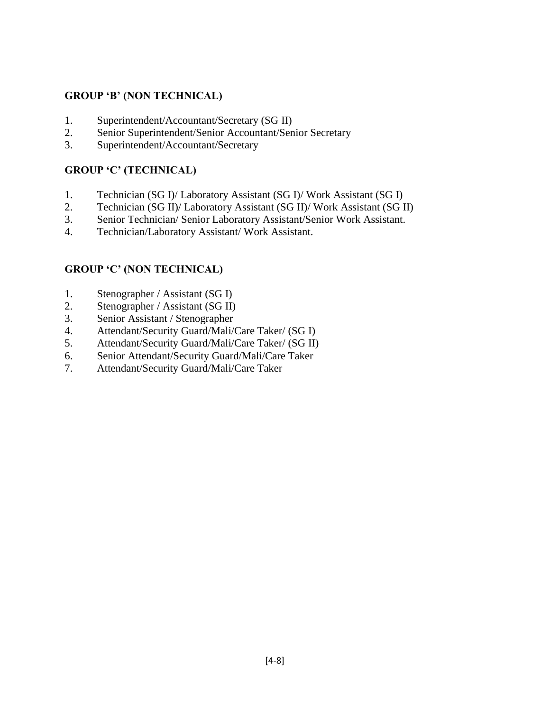# **GROUP 'B' (NON TECHNICAL)**

- 1. Superintendent/Accountant/Secretary (SG II)
- 2. Senior Superintendent/Senior Accountant/Senior Secretary
- 3. Superintendent/Accountant/Secretary

# **GROUP 'C' (TECHNICAL)**

- 1. Technician (SG I)/ Laboratory Assistant (SG I)/ Work Assistant (SG I)
- 2. Technician (SG II)/ Laboratory Assistant (SG II)/ Work Assistant (SG II)
- 3. Senior Technician/ Senior Laboratory Assistant/Senior Work Assistant.
- 4. Technician/Laboratory Assistant/ Work Assistant.

# **GROUP 'C' (NON TECHNICAL)**

- 1. Stenographer / Assistant (SG I)
- 2. Stenographer / Assistant (SG II)
- 3. Senior Assistant / Stenographer
- 4. Attendant/Security Guard/Mali/Care Taker/ (SG I)
- 5. Attendant/Security Guard/Mali/Care Taker/ (SG II)
- 6. Senior Attendant/Security Guard/Mali/Care Taker
- 7. Attendant/Security Guard/Mali/Care Taker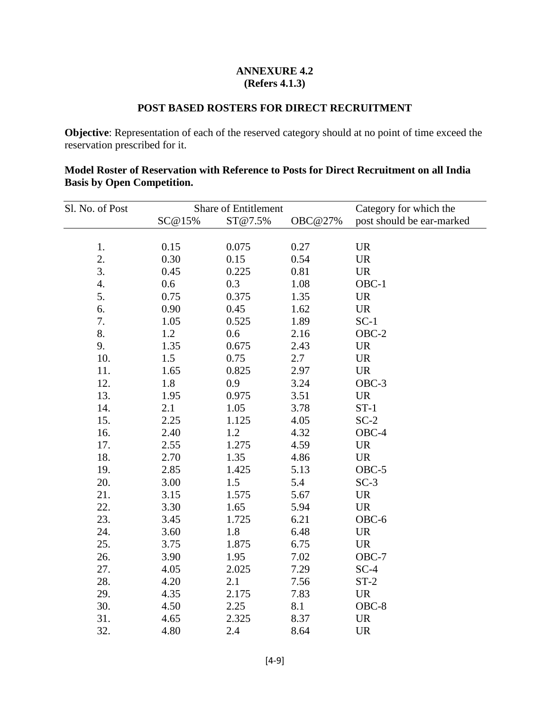#### **ANNEXURE 4.2 (Refers 4.1.3)**

# **POST BASED ROSTERS FOR DIRECT RECRUITMENT**

**Objective**: Representation of each of the reserved category should at no point of time exceed the reservation prescribed for it.

| Sl. No. of Post    |        | Share of Entitlement |         | Category for which the    |
|--------------------|--------|----------------------|---------|---------------------------|
|                    | SC@15% | ST@7.5%              | OBC@27% | post should be ear-marked |
|                    |        |                      |         |                           |
| 1.                 | 0.15   | 0.075                | 0.27    | <b>UR</b>                 |
| 2.                 | 0.30   | 0.15                 | 0.54    | <b>UR</b>                 |
| 3.                 | 0.45   | 0.225                | 0.81    | <b>UR</b>                 |
| $\boldsymbol{4}$ . | 0.6    | 0.3                  | 1.08    | OBC-1                     |
| 5.                 | 0.75   | 0.375                | 1.35    | <b>UR</b>                 |
| 6.                 | 0.90   | 0.45                 | 1.62    | <b>UR</b>                 |
| 7.                 | 1.05   | 0.525                | 1.89    | $SC-1$                    |
| 8.                 | 1.2    | 0.6                  | 2.16    | $OBC-2$                   |
| 9.                 | 1.35   | 0.675                | 2.43    | <b>UR</b>                 |
| 10.                | 1.5    | 0.75                 | 2.7     | <b>UR</b>                 |
| 11.                | 1.65   | 0.825                | 2.97    | <b>UR</b>                 |
| 12.                | 1.8    | 0.9                  | 3.24    | OBC-3                     |
| 13.                | 1.95   | 0.975                | 3.51    | <b>UR</b>                 |
| 14.                | 2.1    | 1.05                 | 3.78    | $ST-1$                    |
| 15.                | 2.25   | 1.125                | 4.05    | $SC-2$                    |
| 16.                | 2.40   | 1.2                  | 4.32    | $OBC-4$                   |
| 17.                | 2.55   | 1.275                | 4.59    | <b>UR</b>                 |
| 18.                | 2.70   | 1.35                 | 4.86    | <b>UR</b>                 |
| 19.                | 2.85   | 1.425                | 5.13    | $OBC-5$                   |
| 20.                | 3.00   | 1.5                  | 5.4     | $SC-3$                    |
| 21.                | 3.15   | 1.575                | 5.67    | <b>UR</b>                 |
| 22.                | 3.30   | 1.65                 | 5.94    | <b>UR</b>                 |
| 23.                | 3.45   | 1.725                | 6.21    | OBC-6                     |
| 24.                | 3.60   | 1.8                  | 6.48    | <b>UR</b>                 |
| 25.                | 3.75   | 1.875                | 6.75    | <b>UR</b>                 |
| 26.                | 3.90   | 1.95                 | 7.02    | $OBC-7$                   |
| 27.                | 4.05   | 2.025                | 7.29    | $SC-4$                    |
| 28.                | 4.20   | 2.1                  | 7.56    | $ST-2$                    |
| 29.                | 4.35   | 2.175                | 7.83    | <b>UR</b>                 |
| 30.                | 4.50   | 2.25                 | 8.1     | $OBC-8$                   |
| 31.                | 4.65   | 2.325                | 8.37    | <b>UR</b>                 |

#### **Model Roster of Reservation with Reference to Posts for Direct Recruitment on all India Basis by Open Competition.**

32. 4.80 2.4 8.64 UR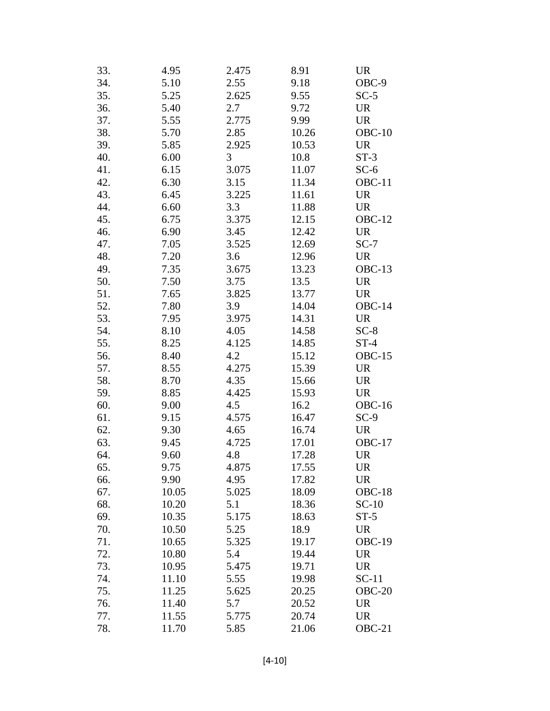| 33. | 4.95  | 2.475 | 8.91  | <b>UR</b>                         |
|-----|-------|-------|-------|-----------------------------------|
| 34. | 5.10  | 2.55  | 9.18  | OBC-9                             |
| 35. | 5.25  | 2.625 | 9.55  | $SC-5$                            |
| 36. | 5.40  | 2.7   | 9.72  | <b>UR</b>                         |
| 37. | 5.55  | 2.775 | 9.99  | <b>UR</b>                         |
| 38. | 5.70  | 2.85  | 10.26 | $OBC-10$                          |
| 39. | 5.85  | 2.925 | 10.53 | <b>UR</b>                         |
| 40. | 6.00  | 3     | 10.8  | $ST-3$                            |
| 41. | 6.15  | 3.075 | 11.07 | $SC-6$                            |
| 42. | 6.30  | 3.15  | 11.34 | $OBC-11$                          |
| 43. | 6.45  | 3.225 | 11.61 | <b>UR</b>                         |
| 44. | 6.60  | 3.3   | 11.88 | <b>UR</b>                         |
| 45. | 6.75  | 3.375 | 12.15 | $OBC-12$                          |
| 46. | 6.90  | 3.45  | 12.42 | <b>UR</b>                         |
| 47. | 7.05  | 3.525 | 12.69 | $SC-7$                            |
| 48. | 7.20  | 3.6   | 12.96 | <b>UR</b>                         |
| 49. | 7.35  | 3.675 | 13.23 | $OBC-13$                          |
| 50. | 7.50  | 3.75  | 13.5  | $\ensuremath{\mathsf{UR}}\xspace$ |
| 51. | 7.65  | 3.825 | 13.77 | <b>UR</b>                         |
| 52. | 7.80  | 3.9   | 14.04 | OBC-14                            |
| 53. | 7.95  | 3.975 | 14.31 | <b>UR</b>                         |
| 54. | 8.10  | 4.05  | 14.58 | $SC-8$                            |
| 55. | 8.25  | 4.125 | 14.85 | $ST-4$                            |
| 56. | 8.40  | 4.2   | 15.12 | <b>OBC-15</b>                     |
| 57. | 8.55  | 4.275 | 15.39 | <b>UR</b>                         |
| 58. | 8.70  | 4.35  | 15.66 | <b>UR</b>                         |
| 59. | 8.85  | 4.425 | 15.93 | <b>UR</b>                         |
| 60. | 9.00  | 4.5   | 16.2  | <b>OBC-16</b>                     |
| 61. | 9.15  | 4.575 | 16.47 | $SC-9$                            |
| 62. | 9.30  | 4.65  | 16.74 | UR                                |
| 63. | 9.45  | 4.725 | 17.01 | OBC-17                            |
| 64. | 9.60  | 4.8   | 17.28 | <b>UR</b>                         |
| 65. | 9.75  | 4.875 | 17.55 | <b>UR</b>                         |
| 66. | 9.90  | 4.95  | 17.82 | UR                                |
| 67. | 10.05 | 5.025 | 18.09 | $OBC-18$                          |
| 68. | 10.20 | 5.1   | 18.36 | $SC-10$                           |
| 69. | 10.35 | 5.175 | 18.63 | $ST-5$                            |
| 70. | 10.50 | 5.25  | 18.9  | UR                                |
| 71. | 10.65 | 5.325 | 19.17 | <b>OBC-19</b>                     |
| 72. | 10.80 | 5.4   | 19.44 | UR                                |
| 73. | 10.95 | 5.475 | 19.71 | UR                                |
| 74. | 11.10 | 5.55  | 19.98 | $SC-11$                           |
| 75. | 11.25 | 5.625 | 20.25 | $OBC-20$                          |
| 76. | 11.40 | 5.7   | 20.52 | UR                                |
| 77. | 11.55 | 5.775 | 20.74 | <b>UR</b>                         |
| 78. | 11.70 | 5.85  | 21.06 | $OBC-21$                          |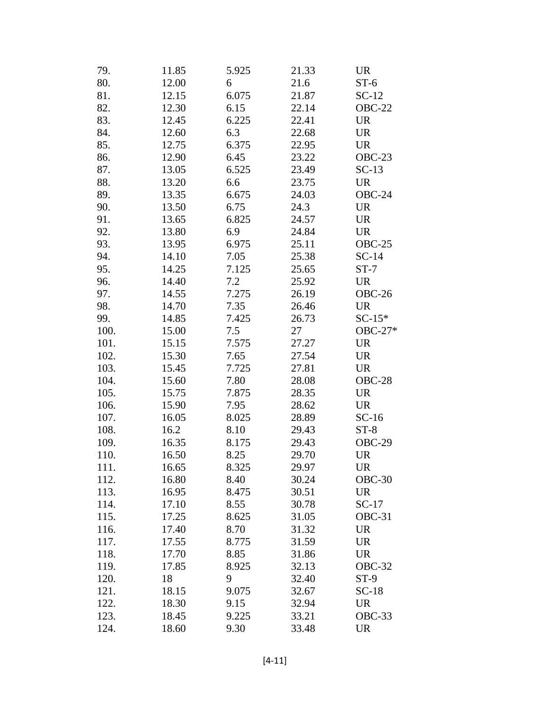| 79.  | 11.85 | 5.925 | 21.33 | <b>UR</b>     |
|------|-------|-------|-------|---------------|
| 80.  | 12.00 | 6     | 21.6  | $ST-6$        |
| 81.  | 12.15 | 6.075 | 21.87 | $SC-12$       |
| 82.  | 12.30 | 6.15  | 22.14 | <b>OBC-22</b> |
| 83.  | 12.45 | 6.225 | 22.41 | <b>UR</b>     |
| 84.  | 12.60 | 6.3   | 22.68 | <b>UR</b>     |
| 85.  | 12.75 | 6.375 | 22.95 | <b>UR</b>     |
| 86.  | 12.90 | 6.45  | 23.22 | $OBC-23$      |
| 87.  | 13.05 | 6.525 | 23.49 | $SC-13$       |
| 88.  | 13.20 | 6.6   | 23.75 | <b>UR</b>     |
| 89.  | 13.35 | 6.675 | 24.03 | OBC-24        |
| 90.  | 13.50 | 6.75  | 24.3  | <b>UR</b>     |
| 91.  | 13.65 | 6.825 | 24.57 | <b>UR</b>     |
| 92.  | 13.80 | 6.9   | 24.84 | <b>UR</b>     |
| 93.  | 13.95 | 6.975 | 25.11 | $OBC-25$      |
| 94.  | 14.10 | 7.05  | 25.38 | $SC-14$       |
| 95.  | 14.25 | 7.125 | 25.65 | $ST-7$        |
| 96.  | 14.40 | 7.2   | 25.92 | <b>UR</b>     |
| 97.  | 14.55 | 7.275 | 26.19 | OBC-26        |
| 98.  | 14.70 | 7.35  | 26.46 | <b>UR</b>     |
| 99.  | 14.85 | 7.425 | 26.73 | $SC-15*$      |
| 100. | 15.00 | 7.5   | 27    | OBC-27*       |
| 101. | 15.15 | 7.575 | 27.27 | <b>UR</b>     |
| 102. | 15.30 | 7.65  | 27.54 | <b>UR</b>     |
| 103. | 15.45 | 7.725 | 27.81 | <b>UR</b>     |
| 104. | 15.60 | 7.80  | 28.08 | OBC-28        |
| 105. | 15.75 | 7.875 | 28.35 | <b>UR</b>     |
| 106. | 15.90 | 7.95  | 28.62 | <b>UR</b>     |
| 107. | 16.05 | 8.025 | 28.89 | $SC-16$       |
| 108. | 16.2  | 8.10  | 29.43 | $ST-8$        |
| 109. | 16.35 | 8.175 | 29.43 | OBC-29        |
| 110. | 16.50 | 8.25  | 29.70 | <b>UR</b>     |
| 111. | 16.65 | 8.325 | 29.97 | UR            |
| 112. | 16.80 | 8.40  | 30.24 | $OBC-30$      |
| 113. | 16.95 | 8.475 | 30.51 | <b>UR</b>     |
| 114. | 17.10 | 8.55  | 30.78 | $SC-17$       |
| 115. | 17.25 | 8.625 | 31.05 | $OBC-31$      |
| 116. | 17.40 | 8.70  | 31.32 | <b>UR</b>     |
| 117. | 17.55 | 8.775 | 31.59 | <b>UR</b>     |
| 118. | 17.70 | 8.85  | 31.86 | <b>UR</b>     |
| 119. | 17.85 | 8.925 | 32.13 | OBC-32        |
| 120. | 18    | 9     | 32.40 | $ST-9$        |
| 121. | 18.15 | 9.075 | 32.67 | $SC-18$       |
| 122. | 18.30 | 9.15  | 32.94 | <b>UR</b>     |
| 123. | 18.45 | 9.225 | 33.21 | OBC-33        |
| 124. | 18.60 | 9.30  | 33.48 | <b>UR</b>     |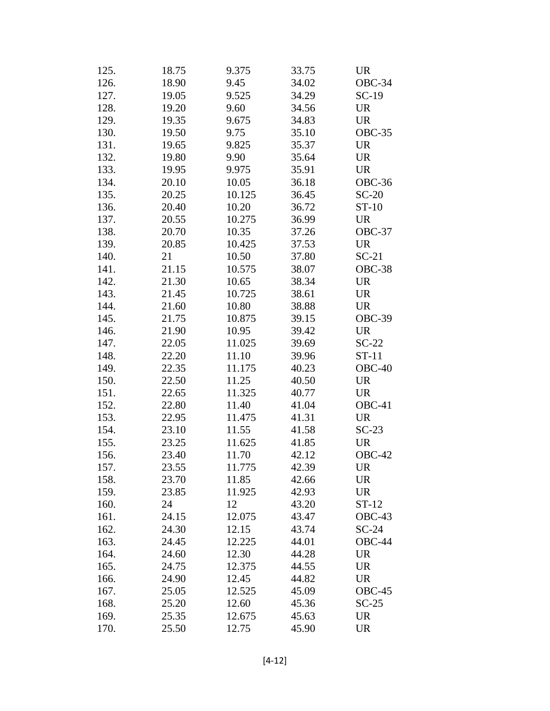| 125. | 18.75 | 9.375  | 33.75 | <b>UR</b> |
|------|-------|--------|-------|-----------|
| 126. | 18.90 | 9.45   | 34.02 | OBC-34    |
| 127. | 19.05 | 9.525  | 34.29 | $SC-19$   |
| 128. | 19.20 | 9.60   | 34.56 | <b>UR</b> |
| 129. | 19.35 | 9.675  | 34.83 | <b>UR</b> |
| 130. | 19.50 | 9.75   | 35.10 | OBC-35    |
| 131. | 19.65 | 9.825  | 35.37 | <b>UR</b> |
| 132. | 19.80 | 9.90   | 35.64 | <b>UR</b> |
| 133. | 19.95 | 9.975  | 35.91 | <b>UR</b> |
| 134. | 20.10 | 10.05  | 36.18 | OBC-36    |
| 135. | 20.25 | 10.125 | 36.45 | $SC-20$   |
| 136. | 20.40 | 10.20  | 36.72 | $ST-10$   |
| 137. | 20.55 | 10.275 | 36.99 | <b>UR</b> |
| 138. | 20.70 | 10.35  | 37.26 | OBC-37    |
| 139. | 20.85 | 10.425 | 37.53 | <b>UR</b> |
| 140. | 21    | 10.50  | 37.80 | $SC-21$   |
| 141. | 21.15 | 10.575 | 38.07 | OBC-38    |
| 142. | 21.30 | 10.65  | 38.34 | <b>UR</b> |
| 143. | 21.45 | 10.725 | 38.61 | <b>UR</b> |
| 144. | 21.60 | 10.80  | 38.88 | <b>UR</b> |
| 145. | 21.75 | 10.875 | 39.15 | OBC-39    |
| 146. | 21.90 | 10.95  | 39.42 | <b>UR</b> |
| 147. | 22.05 | 11.025 | 39.69 | $SC-22$   |
| 148. | 22.20 | 11.10  | 39.96 | $ST-11$   |
| 149. | 22.35 | 11.175 | 40.23 | $OBC-40$  |
| 150. | 22.50 | 11.25  | 40.50 | <b>UR</b> |
| 151. | 22.65 | 11.325 | 40.77 | <b>UR</b> |
| 152. | 22.80 | 11.40  | 41.04 | $OBC-41$  |
| 153. | 22.95 | 11.475 | 41.31 | <b>UR</b> |
| 154. | 23.10 | 11.55  | 41.58 | $SC-23$   |
| 155. | 23.25 | 11.625 | 41.85 | <b>UR</b> |
| 156. | 23.40 | 11.70  | 42.12 | OBC-42    |
| 157. | 23.55 | 11.775 | 42.39 | <b>UR</b> |
| 158. | 23.70 | 11.85  | 42.66 | UR        |
| 159. | 23.85 | 11.925 | 42.93 | <b>UR</b> |
| 160. | 24    | 12     | 43.20 | $ST-12$   |
| 161. | 24.15 | 12.075 | 43.47 | $OBC-43$  |
| 162. | 24.30 | 12.15  | 43.74 | $SC-24$   |
| 163. | 24.45 | 12.225 | 44.01 | OBC-44    |
| 164. | 24.60 | 12.30  | 44.28 | <b>UR</b> |
| 165. | 24.75 | 12.375 | 44.55 | <b>UR</b> |
| 166. | 24.90 | 12.45  | 44.82 | <b>UR</b> |
| 167. | 25.05 | 12.525 | 45.09 | $OBC-45$  |
| 168. | 25.20 | 12.60  | 45.36 | $SC-25$   |
| 169. | 25.35 | 12.675 | 45.63 | <b>UR</b> |
| 170. | 25.50 | 12.75  | 45.90 | <b>UR</b> |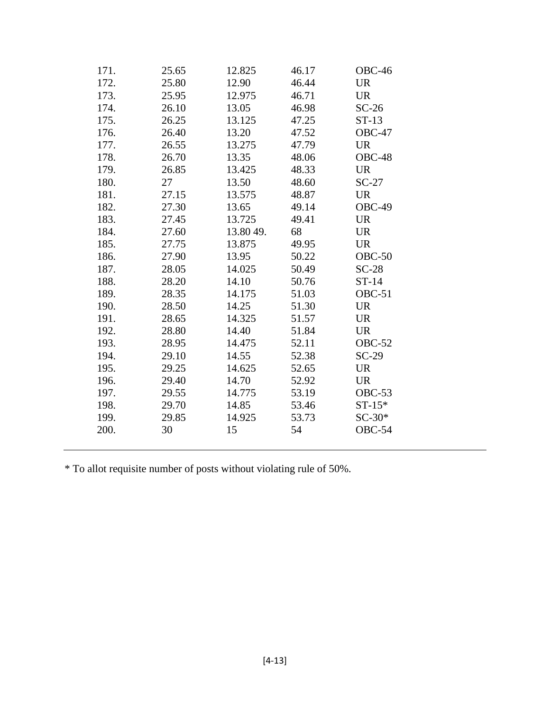| 171. | 25.65 | 12.825    | 46.17 | OBC-46        |
|------|-------|-----------|-------|---------------|
| 172. | 25.80 | 12.90     | 46.44 | <b>UR</b>     |
| 173. | 25.95 | 12.975    | 46.71 | <b>UR</b>     |
| 174. | 26.10 | 13.05     | 46.98 | $SC-26$       |
| 175. | 26.25 | 13.125    | 47.25 | $ST-13$       |
| 176. | 26.40 | 13.20     | 47.52 | $OBC-47$      |
| 177. | 26.55 | 13.275    | 47.79 | <b>UR</b>     |
| 178. | 26.70 | 13.35     | 48.06 | OBC-48        |
| 179. | 26.85 | 13.425    | 48.33 | <b>UR</b>     |
| 180. | 27    | 13.50     | 48.60 | $SC-27$       |
| 181. | 27.15 | 13.575    | 48.87 | <b>UR</b>     |
| 182. | 27.30 | 13.65     | 49.14 | OBC-49        |
| 183. | 27.45 | 13.725    | 49.41 | <b>UR</b>     |
| 184. | 27.60 | 13.80 49. | 68    | <b>UR</b>     |
| 185. | 27.75 | 13.875    | 49.95 | <b>UR</b>     |
| 186. | 27.90 | 13.95     | 50.22 | $OBC-50$      |
| 187. | 28.05 | 14.025    | 50.49 | $SC-28$       |
| 188. | 28.20 | 14.10     | 50.76 | $ST-14$       |
| 189. | 28.35 | 14.175    | 51.03 | OBC-51        |
| 190. | 28.50 | 14.25     | 51.30 | <b>UR</b>     |
| 191. | 28.65 | 14.325    | 51.57 | <b>UR</b>     |
| 192. | 28.80 | 14.40     | 51.84 | <b>UR</b>     |
| 193. | 28.95 | 14.475    | 52.11 | <b>OBC-52</b> |
| 194. | 29.10 | 14.55     | 52.38 | $SC-29$       |
| 195. | 29.25 | 14.625    | 52.65 | <b>UR</b>     |
| 196. | 29.40 | 14.70     | 52.92 | <b>UR</b>     |
| 197. | 29.55 | 14.775    | 53.19 | $OBC-53$      |
| 198. | 29.70 | 14.85     | 53.46 | $ST-15*$      |
| 199. | 29.85 | 14.925    | 53.73 | $SC-30*$      |
| 200. | 30    | 15        | 54    | <b>OBC-54</b> |
|      |       |           |       |               |

\* To allot requisite number of posts without violating rule of 50%.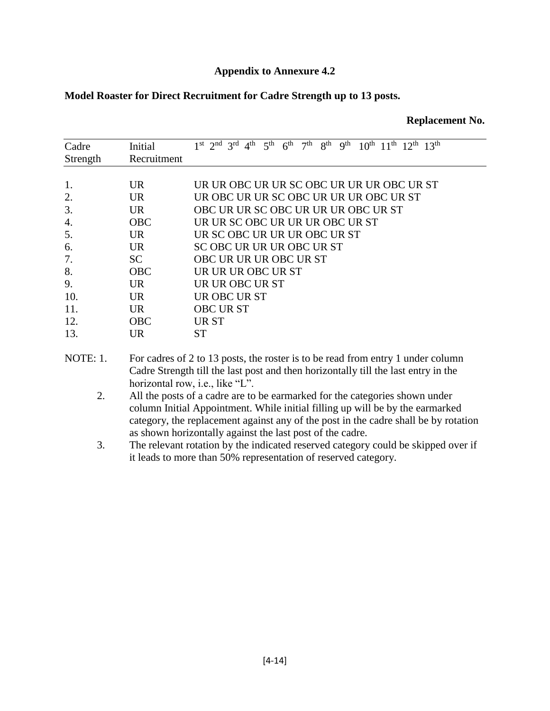#### **Appendix to Annexure 4.2**

**Replacement No.**

#### **Model Roaster for Direct Recruitment for Cadre Strength up to 13 posts.**

| Cadre    | Initial     | 1st 2nd 3rd 4th 5th 6th 7th 8th 9th 10th 11th 12th 13th                         |
|----------|-------------|---------------------------------------------------------------------------------|
| Strength | Recruitment |                                                                                 |
|          |             |                                                                                 |
| 1.       | <b>UR</b>   | UR UR OBC UR UR SC OBC UR UR UR OBC UR ST                                       |
| 2.       | <b>UR</b>   | UR OBC UR UR SC OBC UR UR UR OBC UR ST                                          |
| 3.       | UR.         | OBC UR UR SC OBC UR UR UR OBC UR ST                                             |
| 4.       | <b>OBC</b>  | UR UR SC OBC UR UR UR OBC UR ST                                                 |
| 5.       | UR.         | UR SC OBC UR UR UR OBC UR ST                                                    |
| 6.       | UR.         | SC OBC UR UR UR OBC UR ST                                                       |
| 7.       | <b>SC</b>   | OBC UR UR UR OBC UR ST                                                          |
| 8.       | <b>OBC</b>  | UR UR UR OBC UR ST                                                              |
| 9.       | <b>UR</b>   | UR UR OBC UR ST                                                                 |
| 10.      | UR.         | UR OBC UR ST                                                                    |
| 11.      | <b>UR</b>   | <b>OBC URST</b>                                                                 |
| 12.      | <b>OBC</b>  | UR ST                                                                           |
| 13.      | <b>UR</b>   | <b>ST</b>                                                                       |
| NOTE: 1. |             | For cadres of 2 to 13 posts, the roster is to be read from entry 1 under column |
|          |             |                                                                                 |

Cadre Strength till the last post and then horizontally till the last entry in the horizontal row, i.e., like "L".

- 2. All the posts of a cadre are to be earmarked for the categories shown under column Initial Appointment. While initial filling up will be by the earmarked category, the replacement against any of the post in the cadre shall be by rotation as shown horizontally against the last post of the cadre.
- 3. The relevant rotation by the indicated reserved category could be skipped over if it leads to more than 50% representation of reserved category.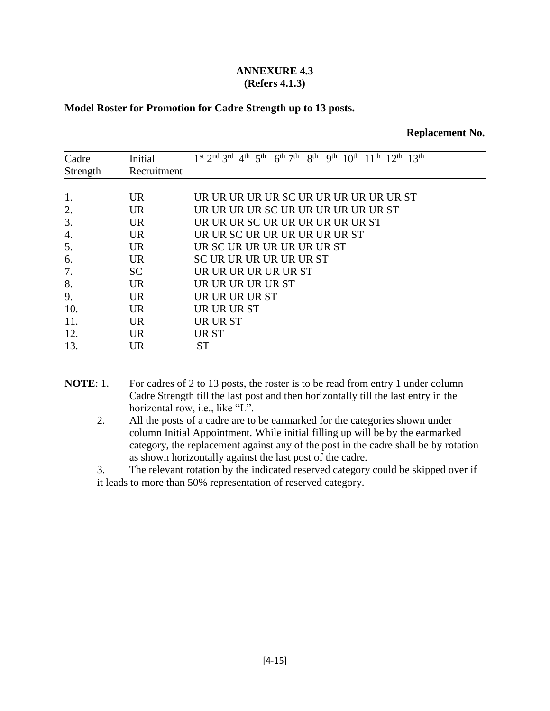#### **ANNEXURE 4.3 (Refers 4.1.3)**

#### **Model Roster for Promotion for Cadre Strength up to 13 posts.**

|  | <b>Replacement No.</b> |  |
|--|------------------------|--|
|--|------------------------|--|

- **NOTE:** 1. For cadres of 2 to 13 posts, the roster is to be read from entry 1 under column Cadre Strength till the last post and then horizontally till the last entry in the horizontal row, i.e., like "L".
	- 2. All the posts of a cadre are to be earmarked for the categories shown under column Initial Appointment. While initial filling up will be by the earmarked category, the replacement against any of the post in the cadre shall be by rotation as shown horizontally against the last post of the cadre.

3. The relevant rotation by the indicated reserved category could be skipped over if it leads to more than 50% representation of reserved category.